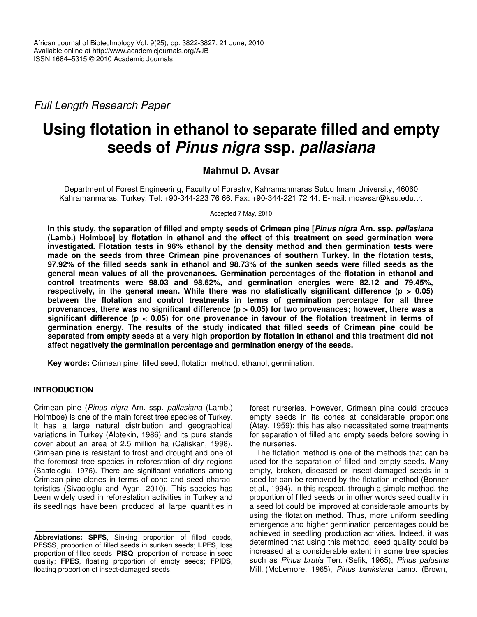*Full Length Research Paper*

# **Using flotation in ethanol to separate filled and empty seeds of** *Pinus nigra* **ssp.** *pallasiana*

# **Mahmut D. Avsar**

Department of Forest Engineering, Faculty of Forestry, Kahramanmaras Sutcu Imam University, 46060 Kahramanmaras, Turkey. Tel: +90-344-223 76 66. Fax: +90-344-221 72 44. E-mail: mdavsar@ksu.edu.tr.

Accepted 7 May, 2010

In this study, the separation of filled and empty seeds of Crimean pine [Pinus nigra Arn. ssp. pallasiana **(Lamb.) Holmboe] by flotation in ethanol and the effect of this treatment on seed germination were investigated. Flotation tests in 96% ethanol by the density method and then germination tests were made on the seeds from three Crimean pine provenances of southern Turkey. In the flotation tests,** 97.92% of the filled seeds sank in ethanol and 98.73% of the sunken seeds were filled seeds as the **general mean values of all the provenances. Germination percentages of the flotation in ethanol and control treatments were 98.03 and 98.62%, and germination energies were 82.12 and 79.45%, respectively, in the general mean. While there was no statistically significant difference (p > 0.05) between the flotation and control treatments in terms of germination percentage for all three provenances, there was no significant difference (p > 0.05) for two provenances; however, there was a significant difference (p < 0.05) for one provenance in favour of the flotation treatment in terms of germination energy. The results of the study indicated that filled seeds of Crimean pine could be** separated from empty seeds at a very high proportion by flotation in ethanol and this treatment did not **affect negatively the germination percentage and germination energy of the seeds.**

**Key words:** Crimean pine, filled seed, flotation method, ethanol, germination.

# **INTRODUCTION**

Crimean pine (*Pinus nigra* Arn. ssp. *pallasiana* (Lamb.) Holmboe) is one of the main forest tree species of Turkey. It has a large natural distribution and geographical variations in Turkey (Alptekin, 1986) and its pure stands cover about an area of 2.5 million ha (Caliskan, 1998). Crimean pine is resistant to frost and drought and one of the foremost tree species in reforestation of dry regions (Saatcioglu, 1976). There are significant variations among Crimean pine clones in terms of cone and seed characteristics (Sivacioglu and Ayan, 2010). This species has been widely used in reforestation activities in Turkey and its seedlings have been produced at large quantities in

forest nurseries. However, Crimean pine could produce empty seeds in its cones at considerable proportions (Atay, 1959); this has also necessitated some treatments for separation of filled and empty seeds before sowing in the nurseries.

The flotation method is one of the methods that can be used for the separation of filled and empty seeds. Many empty, broken, diseased or insect-damaged seeds in a seed lot can be removed by the flotation method (Bonner et al., 1994). In this respect, through a simple method, the proportion of filled seeds or in other words seed quality in a seed lot could be improved at considerable amounts by using the flotation method. Thus, more uniform seedling emergence and higher germination percentages could be achieved in seedling production activities. Indeed, it was determined that using this method, seed quality could be increased at a considerable extent in some tree species such as *Pinus brutia* Ten. (Sefik, 1965), *Pinus palustris* Mill. (McLemore, 1965), *Pinus banksiana* Lamb. (Brown,

**Abbreviations: SPFS**, Sinking proportion of filled seeds, **PFSSS**, proportion of filled seeds in sunken seeds; **LPFS**, loss proportion of filled seeds; **PISQ**, proportion of increase in seed quality; **FPES**, floating proportion of empty seeds; **FPIDS**, floating proportion of insect-damaged seeds.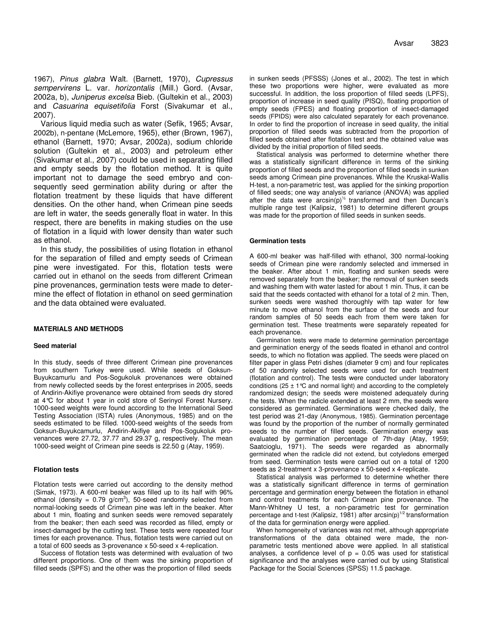1967), *Pinus glabra* Walt. (Barnett, 1970), *Cupressus sempervirens* L. var*. horizontalis* (Mill.) Gord. (Avsar, 2002a, b), *Juniperus excelsa* Bieb. (Gultekin et al., 2003) and *Casuarina equisetifolia* Forst (Sivakumar et al., 2007).

Various liquid media such as water (Sefik, 1965; Avsar, 2002b), n-pentane (McLemore, 1965), ether (Brown, 1967), ethanol (Barnett, 1970; Avsar, 2002a), sodium chloride solution (Gultekin et al., 2003) and petroleum ether (Sivakumar et al., 2007) could be used in separating filled and empty seeds by the flotation method. It is quite important not to damage the seed embryo and consequently seed germination ability during or after the flotation treatment by these liquids that have different densities. On the other hand, when Crimean pine seeds are left in water, the seeds generally float in water. In this respect, there are benefits in making studies on the use of flotation in a liquid with lower density than water such as ethanol.

In this study, the possibilities of using flotation in ethanol for the separation of filled and empty seeds of Crimean pine were investigated. For this, flotation tests were carried out in ethanol on the seeds from different Crimean pine provenances, germination tests were made to determine the effect of flotation in ethanol on seed germination and the data obtained were evaluated.

## **MATERIALS AND METHODS**

## **Seed material**

In this study, seeds of three different Crimean pine provenances from southern Turkey were used. While seeds of Goksun-Buyukcamurlu and Pos-Sogukoluk provenances were obtained from newly collected seeds by the forest enterprises in 2005, seeds of Andirin-Akifiye provenance were obtained from seeds dry stored at 4°C for about 1 year in cold store of Serinyol Forest Nursery. 1000-seed weights were found according to the International Seed Testing Association (ISTA) rules (Anonymous, 1985) and on the seeds estimated to be filled. 1000-seed weights of the seeds from Goksun-Buyukcamurlu, Andirin-Akifiye and Pos-Sogukoluk provenances were 27.72, 37.77 and 29.37 g, respectively. The mean 1000-seed weight of Crimean pine seeds is 22.50 g (Atay, 1959).

#### **Flotation tests**

Flotation tests were carried out according to the density method (Simak, 1973). A 600-ml beaker was filled up to its half with 96% ethanol (density =  $0.79$  g/cm<sup>3</sup>), 50-seed randomly selected from normal-looking seeds of Crimean pine was left in the beaker. After about 1 min, floating and sunken seeds were removed separately from the beaker; then each seed was recorded as filled, empty or insect-damaged by the cutting test. These tests were repeated four times for each provenance. Thus, flotation tests were carried out on a total of 600 seeds as 3-provenance x 50-seed x 4-replication.

Success of flotation tests was determined with evaluation of two different proportions. One of them was the sinking proportion of filled seeds (SPFS) and the other was the proportion of filled seeds

in sunken seeds (PFSSS) (Jones et al., 2002). The test in which these two proportions were higher, were evaluated as more successful. In addition, the loss proportion of filled seeds (LPFS), proportion of increase in seed quality (PISQ), floating proportion of empty seeds (FPES) and floating proportion of insect-damaged seeds (FPIDS) were also calculated separately for each provenance. In order to find the proportion of increase in seed quality, the initial proportion of filled seeds was subtracted from the proportion of filled seeds obtained after flotation test and the obtained value was divided by the initial proportion of filled seeds.

Statistical analysis was performed to determine whether there was a statistically significant difference in terms of the sinking proportion of filled seeds and the proportion of filled seeds in sunken seeds among Crimean pine provenances. While the Kruskal-Wallis H-test, a non-parametric test, was applied for the sinking proportion of filled seeds; one way analysis of variance (ANOVA) was applied after the data were arcsin(p)<sup>1/2</sup> transformed and then Duncan's multiple range test (Kalipsiz, 1981) to determine different groups was made for the proportion of filled seeds in sunken seeds.

#### **Germination tests**

A 600-ml beaker was half-filled with ethanol, 300 normal-looking seeds of Crimean pine were randomly selected and immersed in the beaker. After about 1 min, floating and sunken seeds were removed separately from the beaker; the removal of sunken seeds and washing them with water lasted for about 1 min. Thus, it can be said that the seeds contacted with ethanol for a total of 2 min. Then, sunken seeds were washed thoroughly with tap water for few minute to move ethanol from the surface of the seeds and four random samples of 50 seeds each from them were taken for germination test. These treatments were separately repeated for each provenance.

Germination tests were made to determine germination percentage and germination energy of the seeds floated in ethanol and control seeds, to which no flotation was applied. The seeds were placed on filter paper in glass Petri dishes (diameter 9 cm) and four replicates of 50 randomly selected seeds were used for each treatment (flotation and control). The tests were conducted under laboratory conditions ( $25 \pm 1$  °C and normal light) and according to the completely randomized design; the seeds were moistened adequately during the tests. When the radicle extended at least 2 mm, the seeds were considered as germinated. Germinations were checked daily, the test period was 21-day (Anonymous, 1985). Germination percentage was found by the proportion of the number of normally germinated seeds to the number of filled seeds. Germination energy was evaluated by germination percentage of 7th-day (Atay, 1959; Saatcioglu, 1971). The seeds were regarded as abnormally germinated when the radicle did not extend, but cotyledons emerged from seed. Germination tests were carried out on a total of 1200 seeds as 2-treatment x 3-provenance x 50-seed x 4-replicate.

Statistical analysis was performed to determine whether there was a statistically significant difference in terms of germination percentage and germination energy between the flotation in ethanol and control treatments for each Crimean pine provenance. The Mann-Whitney U test, a non-parametric test for germination percentage and t-test (Kalipsiz, 1981) after arcsin(p)<sup>1/2</sup> transformation of the data for germination energy were applied.

When homogeneity of variances was not met, although appropriate transformations of the data obtained were made, the nonparametric tests mentioned above were applied. In all statistical analyses, a confidence level of  $p = 0.05$  was used for statistical significance and the analyses were carried out by using Statistical Package for the Social Sciences (SPSS) 11.5 package.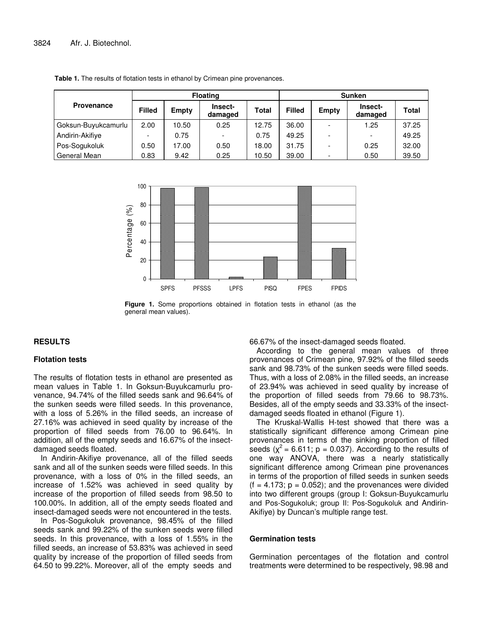|                     | <b>Floating</b> |              |                    |              | <b>Sunken</b> |       |                    |       |
|---------------------|-----------------|--------------|--------------------|--------------|---------------|-------|--------------------|-------|
| <b>Provenance</b>   | <b>Filled</b>   | <b>Empty</b> | Insect-<br>damaged | <b>Total</b> | <b>Filled</b> | Empty | Insect-<br>damaged | Total |
| Goksun-Buyukcamurlu | 2.00            | 10.50        | 0.25               | 12.75        | 36.00         |       | 1.25               | 37.25 |
| Andirin-Akifiye     |                 | 0.75         |                    | 0.75         | 49.25         |       |                    | 49.25 |
| Pos-Sogukoluk       | 0.50            | 17.00        | 0.50               | 18.00        | 31.75         |       | 0.25               | 32.00 |
| General Mean        | 0.83            | 9.42         | 0.25               | 10.50        | 39.00         |       | 0.50               | 39.50 |

**Table 1.** The results of flotation tests in ethanol by Crimean pine provenances.



**Figure 1.** Some proportions obtained in flotation tests in ethanol (as the general mean values).

# **RESULTS**

## **Flotation tests**

The results of flotation tests in ethanol are presented as mean values in Table 1. In Goksun-Buyukcamurlu provenance, 94.74% of the filled seeds sank and 96.64% of the sunken seeds were filled seeds. In this provenance, with a loss of 5.26% in the filled seeds, an increase of 27.16% was achieved in seed quality by increase of the proportion of filled seeds from 76.00 to 96.64%. In addition, all of the empty seeds and 16.67% of the insectdamaged seeds floated.

In Andirin-Akifiye provenance, all of the filled seeds sank and all of the sunken seeds were filled seeds. In this provenance, with a loss of 0% in the filled seeds, an increase of 1.52% was achieved in seed quality by increase of the proportion of filled seeds from 98.50 to 100.00%. In addition, all of the empty seeds floated and insect-damaged seeds were not encountered in the tests.

In Pos-Sogukoluk provenance, 98.45% of the filled seeds sank and 99.22% of the sunken seeds were filled seeds. In this provenance, with a loss of 1.55% in the filled seeds, an increase of 53.83% was achieved in seed quality by increase of the proportion of filled seeds from 64.50 to 99.22%. Moreover, all of the empty seeds and

66.67% of the insect-damaged seeds floated.

According to the general mean values of three provenances of Crimean pine, 97.92% of the filled seeds sank and 98.73% of the sunken seeds were filled seeds. Thus, with a loss of 2.08% in the filled seeds, an increase of 23.94% was achieved in seed quality by increase of the proportion of filled seeds from 79.66 to 98.73%. Besides, all of the empty seeds and 33.33% of the insectdamaged seeds floated in ethanol (Figure 1).

The Kruskal-Wallis H-test showed that there was a statistically significant difference among Crimean pine provenances in terms of the sinking proportion of filled seeds ( $\chi^2$  = 6.611; p = 0.037). According to the results of one way ANOVA, there was a nearly statistically significant difference among Crimean pine provenances in terms of the proportion of filled seeds in sunken seeds  $(f = 4.173; p = 0.052)$ ; and the provenances were divided into two different groups (group I: Goksun-Buyukcamurlu and Pos-Sogukoluk; group II: Pos-Sogukoluk and Andirin-Akifiye) by Duncan's multiple range test.

# **Germination tests**

Germination percentages of the flotation and control treatments were determined to be respectively, 98.98 and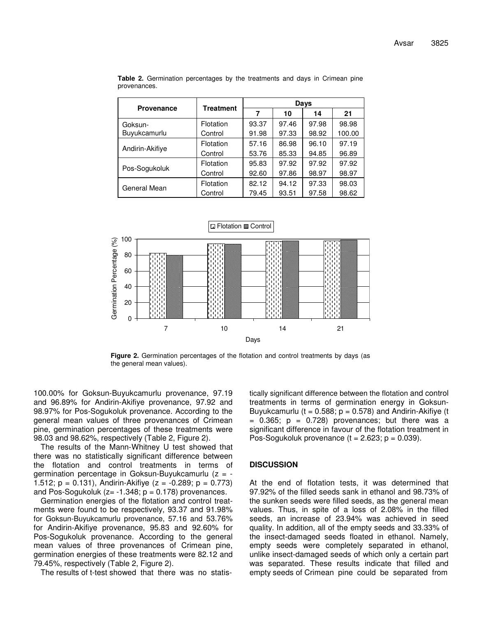|                   |                  | Days  |       |       |        |  |  |
|-------------------|------------------|-------|-------|-------|--------|--|--|
| <b>Provenance</b> | <b>Treatment</b> | 7     | 10    | 14    | 21     |  |  |
| Goksun-           | Flotation        | 93.37 | 97.46 | 97.98 | 98.98  |  |  |
| Buyukcamurlu      | Control          | 91.98 | 97.33 | 98.92 | 100.00 |  |  |
|                   | Flotation        | 57.16 | 86.98 | 96.10 | 97.19  |  |  |
| Andirin-Akifiye   | Control          | 53.76 | 85.33 | 94.85 | 96.89  |  |  |
|                   | Flotation        | 95.83 | 97.92 | 97.92 | 97.92  |  |  |
| Pos-Sogukoluk     | Control          | 92.60 | 97.86 | 98.97 | 98.97  |  |  |
| General Mean      | Flotation        | 82.12 | 94.12 | 97.33 | 98.03  |  |  |
|                   | Control          | 79.45 | 93.51 | 97.58 | 98.62  |  |  |

**Table 2.** Germination percentages by the treatments and days in Crimean pine provenances.



**Figure 2.** Germination percentages of the flotation and control treatments by days (as the general mean values).

100.00% for Goksun-Buyukcamurlu provenance, 97.19 and 96.89% for Andirin-Akifiye provenance, 97.92 and 98.97% for Pos-Sogukoluk provenance. According to the general mean values of three provenances of Crimean pine, germination percentages of these treatments were 98.03 and 98.62%, respectively (Table 2, Figure 2).

The results of the Mann-Whitney U test showed that there was no statistically significant difference between the flotation and control treatments in terms of germination percentage in Goksun-Buyukcamurlu  $(z = -$ 1.512;  $p = 0.131$ , Andirin-Akifiye ( $z = -0.289$ ;  $p = 0.773$ ) and Pos-Sogukoluk  $(z= -1.348; p = 0.178)$  provenances.

Germination energies of the flotation and control treatments were found to be respectively, 93.37 and 91.98% for Goksun-Buyukcamurlu provenance, 57.16 and 53.76% for Andirin-Akifiye provenance, 95.83 and 92.60% for Pos-Sogukoluk provenance. According to the general mean values of three provenances of Crimean pine, germination energies of these treatments were 82.12 and 79.45%, respectively (Table 2, Figure 2).

The results of t-test showed that there was no statis-

tically significant difference between the flotation and control treatments in terms of germination energy in Goksun-Buyukcamurlu ( $t = 0.588$ ;  $p = 0.578$ ) and Andirin-Akifiye (t  $= 0.365$ ;  $p = 0.728$ ) provenances; but there was a significant difference in favour of the flotation treatment in Pos-Sogukoluk provenance  $(t = 2.623; p = 0.039)$ .

## **DISCUSSION**

At the end of flotation tests, it was determined that 97.92% of the filled seeds sank in ethanol and 98.73% of the sunken seeds were filled seeds, as the general mean values. Thus, in spite of a loss of 2.08% in the filled seeds, an increase of 23.94% was achieved in seed quality. In addition, all of the empty seeds and 33.33% of the insect-damaged seeds floated in ethanol. Namely, empty seeds were completely separated in ethanol, unlike insect-damaged seeds of which only a certain part was separated. These results indicate that filled and empty seeds of Crimean pine could be separated from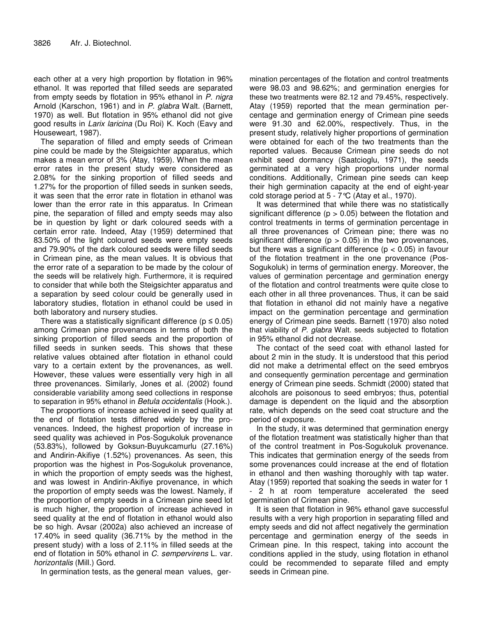each other at a very high proportion by flotation in 96% ethanol. It was reported that filled seeds are separated from empty seeds by flotation in 95% ethanol in *P. nigra* Arnold (Karschon, 1961) and in *P. glabra* Walt. (Barnett, 1970) as well. But flotation in 95% ethanol did not give good results in *Larix laricina* (Du Roi) K. Koch (Eavy and Houseweart, 1987).

The separation of filled and empty seeds of Crimean pine could be made by the Steigsichter apparatus, which makes a mean error of 3% (Atay, 1959). When the mean error rates in the present study were considered as 2.08% for the sinking proportion of filled seeds and 1.27% for the proportion of filled seeds in sunken seeds, it was seen that the error rate in flotation in ethanol was lower than the error rate in this apparatus. In Crimean pine, the separation of filled and empty seeds may also be in question by light or dark coloured seeds with a certain error rate. Indeed, Atay (1959) determined that 83.50% of the light coloured seeds were empty seeds and 79.90% of the dark coloured seeds were filled seeds in Crimean pine, as the mean values. It is obvious that the error rate of a separation to be made by the colour of the seeds will be relatively high. Furthermore, it is required to consider that while both the Steigsichter apparatus and a separation by seed colour could be generally used in laboratory studies, flotation in ethanol could be used in both laboratory and nursery studies.

There was a statistically significant difference ( $p \leq 0.05$ ) among Crimean pine provenances in terms of both the sinking proportion of filled seeds and the proportion of filled seeds in sunken seeds. This shows that these relative values obtained after flotation in ethanol could vary to a certain extent by the provenances, as well. However, these values were essentially very high in all three provenances. Similarly, Jones et al. (2002) found considerable variability among seed collections in response to separation in 95% ethanol in *Betula occidentalis* (Hook.).

The proportions of increase achieved in seed quality at the end of flotation tests differed widely by the provenances. Indeed, the highest proportion of increase in seed quality was achieved in Pos-Sogukoluk provenance (53.83%), followed by Goksun-Buyukcamurlu (27.16%) and Andirin-Akifiye (1.52%) provenances. As seen, this proportion was the highest in Pos-Sogukoluk provenance, in which the proportion of empty seeds was the highest, and was lowest in Andirin-Akifiye provenance, in which the proportion of empty seeds was the lowest. Namely, if the proportion of empty seeds in a Crimean pine seed lot is much higher, the proportion of increase achieved in seed quality at the end of flotation in ethanol would also be so high. Avsar (2002a) also achieved an increase of 17.40% in seed quality (36.71% by the method in the present study) with a loss of 2.11% in filled seeds at the end of flotation in 50% ethanol in *C. sempervirens* L. var*. horizontalis* (Mill.) Gord.

In germination tests, as the general mean values, ger-

mination percentages of the flotation and control treatments were 98.03 and 98.62%; and germination energies for these two treatments were 82.12 and 79.45%, respectively. Atay (1959) reported that the mean germination percentage and germination energy of Crimean pine seeds were 91.30 and 62.00%, respectively. Thus, in the present study, relatively higher proportions of germination were obtained for each of the two treatments than the reported values. Because Crimean pine seeds do not exhibit seed dormancy (Saatcioglu, 1971), the seeds germinated at a very high proportions under normal conditions. Additionally, Crimean pine seeds can keep their high germination capacity at the end of eight-year cold storage period at 5 - 7°C (Atay et al., 1970).

It was determined that while there was no statistically significant difference ( $p > 0.05$ ) between the flotation and control treatments in terms of germination percentage in all three provenances of Crimean pine; there was no significant difference ( $p > 0.05$ ) in the two provenances, but there was a significant difference ( $p < 0.05$ ) in favour of the flotation treatment in the one provenance (Pos-Sogukoluk) in terms of germination energy. Moreover, the values of germination percentage and germination energy of the flotation and control treatments were quite close to each other in all three provenances. Thus, it can be said that flotation in ethanol did not mainly have a negative impact on the germination percentage and germination energy of Crimean pine seeds. Barnett (1970) also noted that viability of *P. glabra* Walt. seeds subjected to flotation in 95% ethanol did not decrease.

The contact of the seed coat with ethanol lasted for about 2 min in the study. It is understood that this period did not make a detrimental effect on the seed embryos and consequently germination percentage and germination energy of Crimean pine seeds. Schmidt (2000) stated that alcohols are poisonous to seed embryos; thus, potential damage is dependent on the liquid and the absorption rate, which depends on the seed coat structure and the period of exposure.

In the study, it was determined that germination energy of the flotation treatment was statistically higher than that of the control treatment in Pos-Sogukoluk provenance. This indicates that germination energy of the seeds from some provenances could increase at the end of flotation in ethanol and then washing thoroughly with tap water. Atay (1959) reported that soaking the seeds in water for 1 - 2 h at room temperature accelerated the seed germination of Crimean pine.

It is seen that flotation in 96% ethanol gave successful results with a very high proportion in separating filled and empty seeds and did not affect negatively the germination percentage and germination energy of the seeds in Crimean pine. In this respect, taking into account the conditions applied in the study, using flotation in ethanol could be recommended to separate filled and empty seeds in Crimean pine.